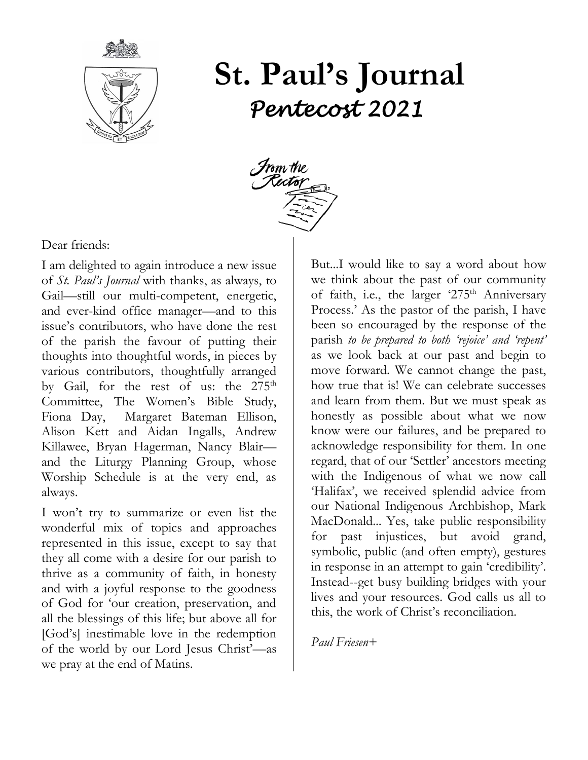

# **St. Paul's Journal** *Pentecost 2021*



Dear friends:

I am delighted to again introduce a new issue of *St. Paul's Journal* with thanks, as always, to Gail—still our multi-competent, energetic, and ever-kind office manager—and to this issue's contributors, who have done the rest of the parish the favour of putting their thoughts into thoughtful words, in pieces by various contributors, thoughtfully arranged by Gail, for the rest of us: the  $275<sup>th</sup>$ Committee, The Women's Bible Study, Fiona Day, Margaret Bateman Ellison, Alison Kett and Aidan Ingalls, Andrew Killawee, Bryan Hagerman, Nancy Blair and the Liturgy Planning Group, whose Worship Schedule is at the very end, as always.

I won't try to summarize or even list the wonderful mix of topics and approaches represented in this issue, except to say that they all come with a desire for our parish to thrive as a community of faith, in honesty and with a joyful response to the goodness of God for 'our creation, preservation, and all the blessings of this life; but above all for [God's] inestimable love in the redemption of the world by our Lord Jesus Christ'—as we pray at the end of Matins.

But...I would like to say a word about how we think about the past of our community of faith, i.e., the larger '275<sup>th</sup> Anniversary Process.' As the pastor of the parish, I have been so encouraged by the response of the parish *to be prepared to both 'rejoice' and 'repent'*  as we look back at our past and begin to move forward. We cannot change the past, how true that is! We can celebrate successes and learn from them. But we must speak as honestly as possible about what we now know were our failures, and be prepared to acknowledge responsibility for them. In one regard, that of our 'Settler' ancestors meeting with the Indigenous of what we now call 'Halifax', we received splendid advice from our National Indigenous Archbishop, Mark MacDonald... Yes, take public responsibility for past injustices, but avoid grand, symbolic, public (and often empty), gestures in response in an attempt to gain 'credibility'. Instead--get busy building bridges with your lives and your resources. God calls us all to this, the work of Christ's reconciliation.

#### *Paul Friesen+*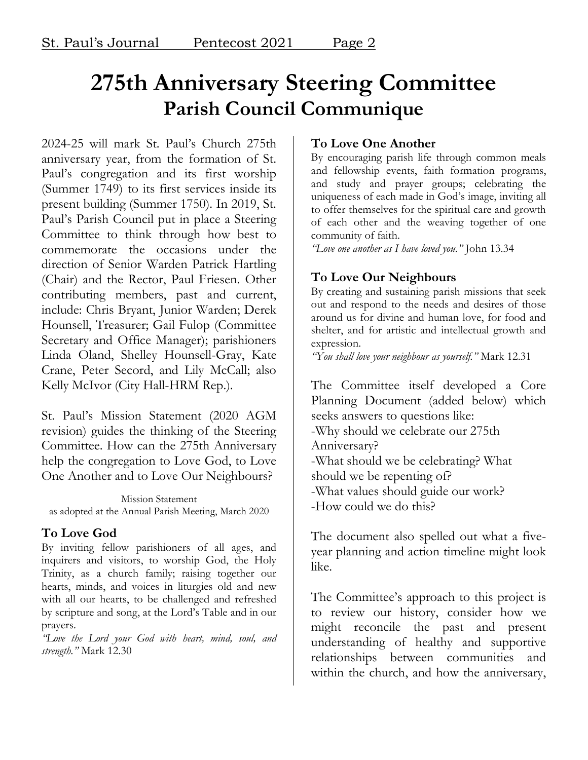### **275th Anniversary Steering Committee Parish Council Communique**

2024-25 will mark St. Paul's Church 275th anniversary year, from the formation of St. Paul's congregation and its first worship (Summer 1749) to its first services inside its present building (Summer 1750). In 2019, St. Paul's Parish Council put in place a Steering Committee to think through how best to commemorate the occasions under the direction of Senior Warden Patrick Hartling (Chair) and the Rector, Paul Friesen. Other contributing members, past and current, include: Chris Bryant, Junior Warden; Derek Hounsell, Treasurer; Gail Fulop (Committee Secretary and Office Manager); parishioners Linda Oland, Shelley Hounsell-Gray, Kate Crane, Peter Secord, and Lily McCall; also Kelly McIvor (City Hall-HRM Rep.).

St. Paul's Mission Statement (2020 AGM revision) guides the thinking of the Steering Committee. How can the 275th Anniversary help the congregation to Love God, to Love One Another and to Love Our Neighbours?

Mission Statement as adopted at the Annual Parish Meeting, March 2020

### **To Love God**

By inviting fellow parishioners of all ages, and inquirers and visitors, to worship God, the Holy Trinity, as a church family; raising together our hearts, minds, and voices in liturgies old and new with all our hearts, to be challenged and refreshed by scripture and song, at the Lord's Table and in our prayers.

*"Love the Lord your God with heart, mind, soul, and strength."* Mark 12.30

### **To Love One Another**

By encouraging parish life through common meals and fellowship events, faith formation programs, and study and prayer groups; celebrating the uniqueness of each made in God's image, inviting all to offer themselves for the spiritual care and growth of each other and the weaving together of one community of faith.

*"Love one another as I have loved you."* John 13.34

### **To Love Our Neighbours**

By creating and sustaining parish missions that seek out and respond to the needs and desires of those around us for divine and human love, for food and shelter, and for artistic and intellectual growth and expression.

*"You shall love your neighbour as yourself."* Mark 12.31

The Committee itself developed a Core Planning Document (added below) which seeks answers to questions like: -Why should we celebrate our 275th Anniversary? -What should we be celebrating? What should we be repenting of? -What values should guide our work? -How could we do this?

The document also spelled out what a fiveyear planning and action timeline might look like.

The Committee's approach to this project is to review our history, consider how we might reconcile the past and present understanding of healthy and supportive relationships between communities and within the church, and how the anniversary,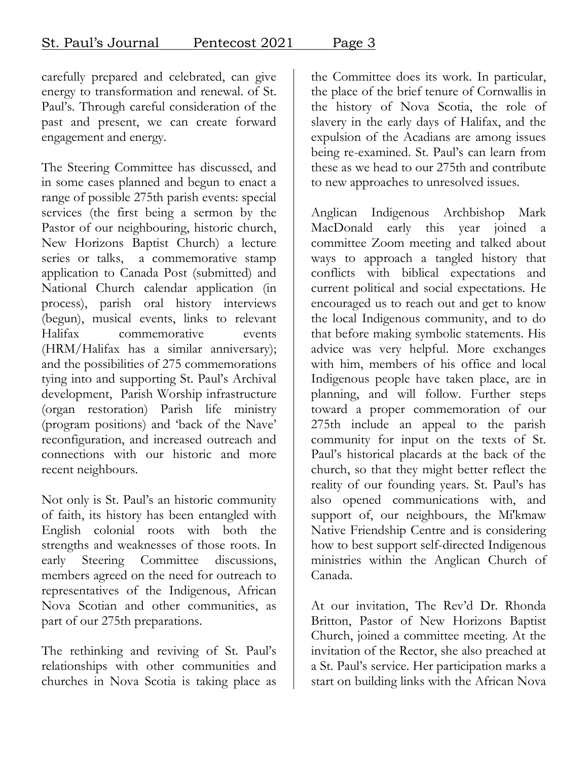carefully prepared and celebrated, can give energy to transformation and renewal. of St. Paul's. Through careful consideration of the past and present, we can create forward engagement and energy.

The Steering Committee has discussed, and in some cases planned and begun to enact a range of possible 275th parish events: special services (the first being a sermon by the Pastor of our neighbouring, historic church, New Horizons Baptist Church) a lecture series or talks, a commemorative stamp application to Canada Post (submitted) and National Church calendar application (in process), parish oral history interviews (begun), musical events, links to relevant Halifax commemorative events (HRM/Halifax has a similar anniversary); and the possibilities of 275 commemorations tying into and supporting St. Paul's Archival development, Parish Worship infrastructure (organ restoration) Parish life ministry (program positions) and 'back of the Nave' reconfiguration, and increased outreach and connections with our historic and more recent neighbours.

Not only is St. Paul's an historic community of faith, its history has been entangled with English colonial roots with both the strengths and weaknesses of those roots. In early Steering Committee discussions, members agreed on the need for outreach to representatives of the Indigenous, African Nova Scotian and other communities, as part of our 275th preparations.

The rethinking and reviving of St. Paul's relationships with other communities and churches in Nova Scotia is taking place as

the Committee does its work. In particular, the place of the brief tenure of Cornwallis in the history of Nova Scotia, the role of slavery in the early days of Halifax, and the expulsion of the Acadians are among issues being re-examined. St. Paul's can learn from these as we head to our 275th and contribute to new approaches to unresolved issues.

Anglican Indigenous Archbishop Mark MacDonald early this year joined a committee Zoom meeting and talked about ways to approach a tangled history that conflicts with biblical expectations and current political and social expectations. He encouraged us to reach out and get to know the local Indigenous community, and to do that before making symbolic statements. His advice was very helpful. More exchanges with him, members of his office and local Indigenous people have taken place, are in planning, and will follow. Further steps toward a proper commemoration of our 275th include an appeal to the parish community for input on the texts of St. Paul's historical placards at the back of the church, so that they might better reflect the reality of our founding years. St. Paul's has also opened communications with, and support of, our neighbours, the Mi'kmaw Native Friendship Centre and is considering how to best support self-directed Indigenous ministries within the Anglican Church of Canada.

At our invitation, The Rev'd Dr. Rhonda Britton, Pastor of New Horizons Baptist Church, joined a committee meeting. At the invitation of the Rector, she also preached at a St. Paul's service. Her participation marks a start on building links with the African Nova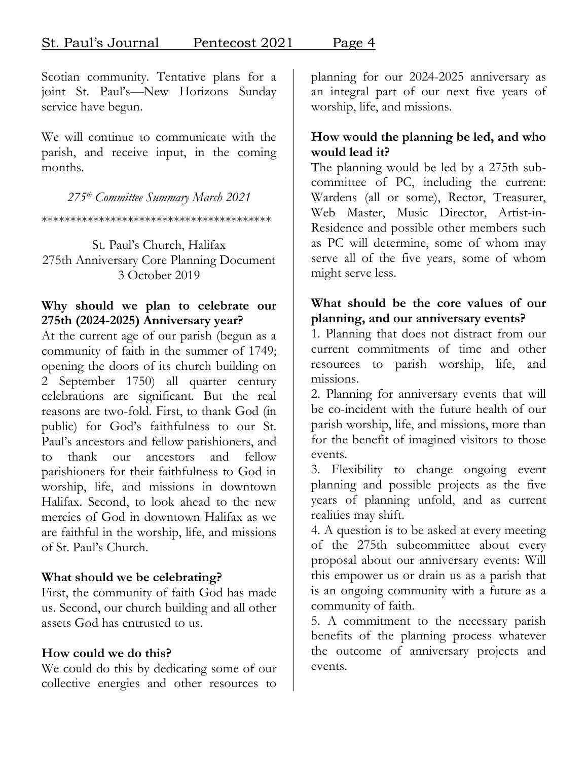Scotian community. Tentative plans for a joint St. Paul's—New Horizons Sunday service have begun.

We will continue to communicate with the parish, and receive input, in the coming months.

*275th Committee Summary March 2021*

\*\*\*\*\*\*\*\*\*\*\*\*\*\*\*\*\*\*\*\*\*\*\*\*\*\*\*\*\*\*\*\*\*\*\*\*\*\*\*\*

St. Paul's Church, Halifax 275th Anniversary Core Planning Document 3 October 2019

#### **Why should we plan to celebrate our 275th (2024-2025) Anniversary year?**

At the current age of our parish (begun as a community of faith in the summer of 1749; opening the doors of its church building on 2 September 1750) all quarter century celebrations are significant. But the real reasons are two-fold. First, to thank God (in public) for God's faithfulness to our St. Paul's ancestors and fellow parishioners, and to thank our ancestors and fellow parishioners for their faithfulness to God in worship, life, and missions in downtown Halifax. Second, to look ahead to the new mercies of God in downtown Halifax as we are faithful in the worship, life, and missions of St. Paul's Church.

### **What should we be celebrating?**

First, the community of faith God has made us. Second, our church building and all other assets God has entrusted to us.

### **How could we do this?**

We could do this by dedicating some of our collective energies and other resources to

planning for our 2024-2025 anniversary as an integral part of our next five years of worship, life, and missions.

### **How would the planning be led, and who would lead it?**

The planning would be led by a 275th subcommittee of PC, including the current: Wardens (all or some), Rector, Treasurer, Web Master, Music Director, Artist-in-Residence and possible other members such as PC will determine, some of whom may serve all of the five years, some of whom might serve less.

### **What should be the core values of our planning, and our anniversary events?**

1. Planning that does not distract from our current commitments of time and other resources to parish worship, life, and missions.

2. Planning for anniversary events that will be co-incident with the future health of our parish worship, life, and missions, more than for the benefit of imagined visitors to those events.

3. Flexibility to change ongoing event planning and possible projects as the five years of planning unfold, and as current realities may shift.

4. A question is to be asked at every meeting of the 275th subcommittee about every proposal about our anniversary events: Will this empower us or drain us as a parish that is an ongoing community with a future as a community of faith.

5. A commitment to the necessary parish benefits of the planning process whatever the outcome of anniversary projects and events.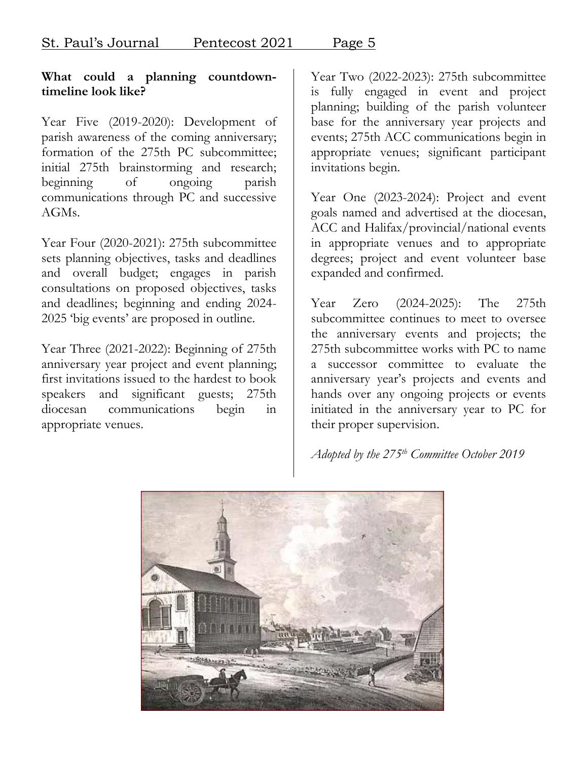#### **What could a planning countdowntimeline look like?**

Year Five (2019-2020): Development of parish awareness of the coming anniversary; formation of the 275th PC subcommittee; initial 275th brainstorming and research; beginning of ongoing parish communications through PC and successive AGMs.

Year Four (2020-2021): 275th subcommittee sets planning objectives, tasks and deadlines and overall budget; engages in parish consultations on proposed objectives, tasks and deadlines; beginning and ending 2024- 2025 'big events' are proposed in outline.

Year Three (2021-2022): Beginning of 275th anniversary year project and event planning; first invitations issued to the hardest to book speakers and significant guests; 275th diocesan communications begin in appropriate venues.

Year Two (2022-2023): 275th subcommittee is fully engaged in event and project planning; building of the parish volunteer base for the anniversary year projects and events; 275th ACC communications begin in appropriate venues; significant participant invitations begin.

Year One (2023-2024): Project and event goals named and advertised at the diocesan, ACC and Halifax/provincial/national events in appropriate venues and to appropriate degrees; project and event volunteer base expanded and confirmed.

Year Zero (2024-2025): The 275th subcommittee continues to meet to oversee the anniversary events and projects; the 275th subcommittee works with PC to name a successor committee to evaluate the anniversary year's projects and events and hands over any ongoing projects or events initiated in the anniversary year to PC for their proper supervision.

*Adopted by the 275th Committee October 2019*

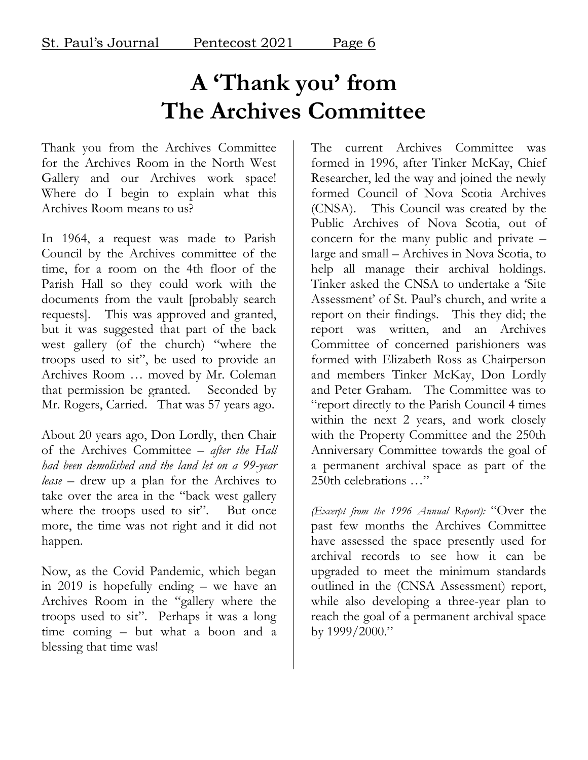## **A 'Thank you' from The Archives Committee**

Thank you from the Archives Committee for the Archives Room in the North West Gallery and our Archives work space! Where do I begin to explain what this Archives Room means to us?

In 1964, a request was made to Parish Council by the Archives committee of the time, for a room on the 4th floor of the Parish Hall so they could work with the documents from the vault [probably search requests]. This was approved and granted, but it was suggested that part of the back west gallery (of the church) "where the troops used to sit", be used to provide an Archives Room … moved by Mr. Coleman that permission be granted. Seconded by Mr. Rogers, Carried. That was 57 years ago.

About 20 years ago, Don Lordly, then Chair of the Archives Committee – *after the Hall had been demolished and the land let on a 99-year lease* – drew up a plan for the Archives to take over the area in the "back west gallery where the troops used to sit". But once more, the time was not right and it did not happen.

Now, as the Covid Pandemic, which began in 2019 is hopefully ending – we have an Archives Room in the "gallery where the troops used to sit". Perhaps it was a long time coming – but what a boon and a blessing that time was!

The current Archives Committee was formed in 1996, after Tinker McKay, Chief Researcher, led the way and joined the newly formed Council of Nova Scotia Archives (CNSA). This Council was created by the Public Archives of Nova Scotia, out of concern for the many public and private – large and small – Archives in Nova Scotia, to help all manage their archival holdings. Tinker asked the CNSA to undertake a 'Site Assessment' of St. Paul's church, and write a report on their findings. This they did; the report was written, and an Archives Committee of concerned parishioners was formed with Elizabeth Ross as Chairperson and members Tinker McKay, Don Lordly and Peter Graham. The Committee was to "report directly to the Parish Council 4 times within the next 2 years, and work closely with the Property Committee and the 250th Anniversary Committee towards the goal of a permanent archival space as part of the 250th celebrations …"

*(Excerpt from the 1996 Annual Report):* "Over the past few months the Archives Committee have assessed the space presently used for archival records to see how it can be upgraded to meet the minimum standards outlined in the (CNSA Assessment) report, while also developing a three-year plan to reach the goal of a permanent archival space by 1999/2000."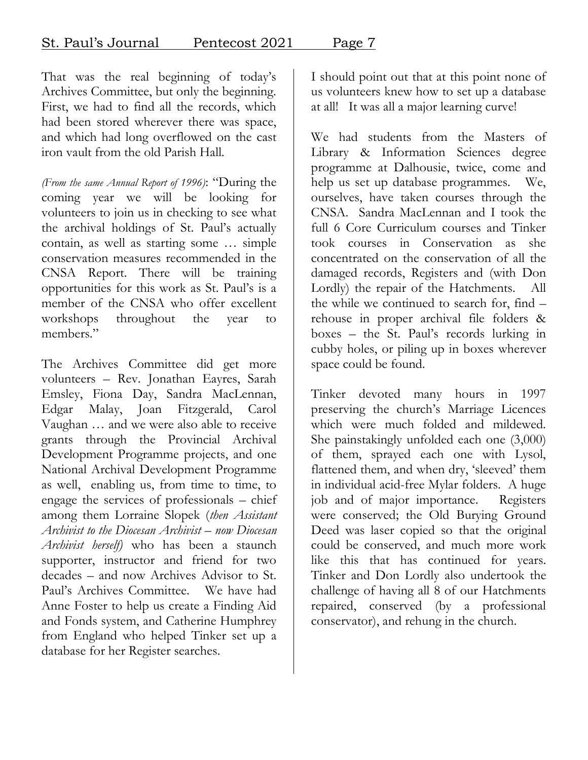That was the real beginning of today's Archives Committee, but only the beginning. First, we had to find all the records, which had been stored wherever there was space, and which had long overflowed on the cast iron vault from the old Parish Hall.

*(From the same Annual Report of 1996)*: "During the coming year we will be looking for volunteers to join us in checking to see what the archival holdings of St. Paul's actually contain, as well as starting some … simple conservation measures recommended in the CNSA Report. There will be training opportunities for this work as St. Paul's is a member of the CNSA who offer excellent workshops throughout the year to members."

The Archives Committee did get more volunteers – Rev. Jonathan Eayres, Sarah Emsley, Fiona Day, Sandra MacLennan, Edgar Malay, Joan Fitzgerald, Carol Vaughan … and we were also able to receive grants through the Provincial Archival Development Programme projects, and one National Archival Development Programme as well, enabling us, from time to time, to engage the services of professionals – chief among them Lorraine Slopek (*then Assistant Archivist to the Diocesan Archivist – now Diocesan Archivist herself)* who has been a staunch supporter, instructor and friend for two decades – and now Archives Advisor to St. Paul's Archives Committee. We have had Anne Foster to help us create a Finding Aid and Fonds system, and Catherine Humphrey from England who helped Tinker set up a database for her Register searches.

I should point out that at this point none of us volunteers knew how to set up a database at all! It was all a major learning curve!

We had students from the Masters of Library & Information Sciences degree programme at Dalhousie, twice, come and help us set up database programmes. We, ourselves, have taken courses through the CNSA. Sandra MacLennan and I took the full 6 Core Curriculum courses and Tinker took courses in Conservation as she concentrated on the conservation of all the damaged records, Registers and (with Don Lordly) the repair of the Hatchments. All the while we continued to search for, find – rehouse in proper archival file folders & boxes – the St. Paul's records lurking in cubby holes, or piling up in boxes wherever space could be found.

Tinker devoted many hours in 1997 preserving the church's Marriage Licences which were much folded and mildewed. She painstakingly unfolded each one (3,000) of them, sprayed each one with Lysol, flattened them, and when dry, 'sleeved' them in individual acid-free Mylar folders. A huge job and of major importance. Registers were conserved; the Old Burying Ground Deed was laser copied so that the original could be conserved, and much more work like this that has continued for years. Tinker and Don Lordly also undertook the challenge of having all 8 of our Hatchments repaired, conserved (by a professional conservator), and rehung in the church.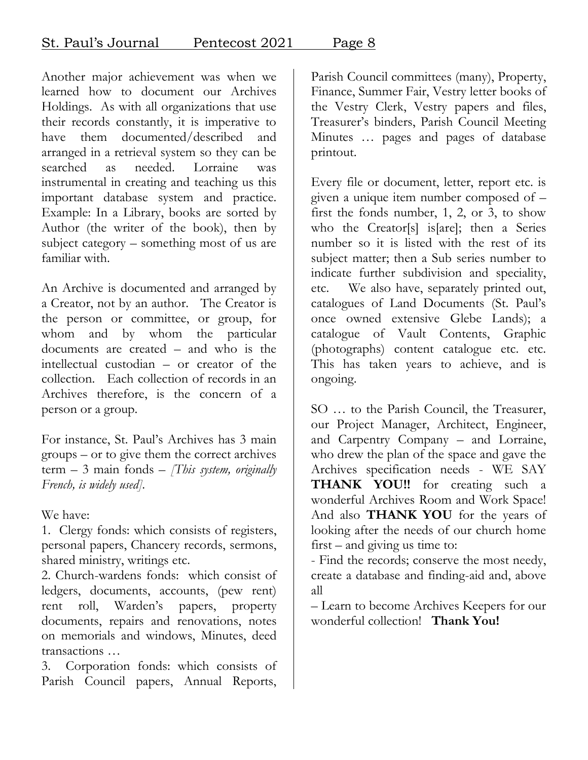Another major achievement was when we learned how to document our Archives Holdings. As with all organizations that use their records constantly, it is imperative to have them documented/described and arranged in a retrieval system so they can be searched as needed. Lorraine was instrumental in creating and teaching us this important database system and practice. Example: In a Library, books are sorted by Author (the writer of the book), then by subject category – something most of us are familiar with.

An Archive is documented and arranged by a Creator, not by an author. The Creator is the person or committee, or group, for whom and by whom the particular documents are created – and who is the intellectual custodian – or creator of the collection. Each collection of records in an Archives therefore, is the concern of a person or a group.

For instance, St. Paul's Archives has 3 main groups – or to give them the correct archives term – 3 main fonds – *[This system, originally French, is widely used].*

We have:

1. Clergy fonds: which consists of registers, personal papers, Chancery records, sermons, shared ministry, writings etc.

2. Church-wardens fonds: which consist of ledgers, documents, accounts, (pew rent) rent roll, Warden's papers, property documents, repairs and renovations, notes on memorials and windows, Minutes, deed transactions …

3. Corporation fonds: which consists of Parish Council papers, Annual Reports,

Parish Council committees (many), Property, Finance, Summer Fair, Vestry letter books of the Vestry Clerk, Vestry papers and files, Treasurer's binders, Parish Council Meeting Minutes … pages and pages of database printout.

Every file or document, letter, report etc. is given a unique item number composed of – first the fonds number, 1, 2, or 3, to show who the Creator[s] is[are]; then a Series number so it is listed with the rest of its subject matter; then a Sub series number to indicate further subdivision and speciality, etc. We also have, separately printed out, catalogues of Land Documents (St. Paul's once owned extensive Glebe Lands); a catalogue of Vault Contents, Graphic (photographs) content catalogue etc. etc. This has taken years to achieve, and is ongoing.

SO … to the Parish Council, the Treasurer, our Project Manager, Architect, Engineer, and Carpentry Company – and Lorraine, who drew the plan of the space and gave the Archives specification needs - WE SAY **THANK YOU!!** for creating such a wonderful Archives Room and Work Space! And also **THANK YOU** for the years of looking after the needs of our church home first – and giving us time to:

- Find the records; conserve the most needy, create a database and finding-aid and, above all

– Learn to become Archives Keepers for our wonderful collection! **Thank You!**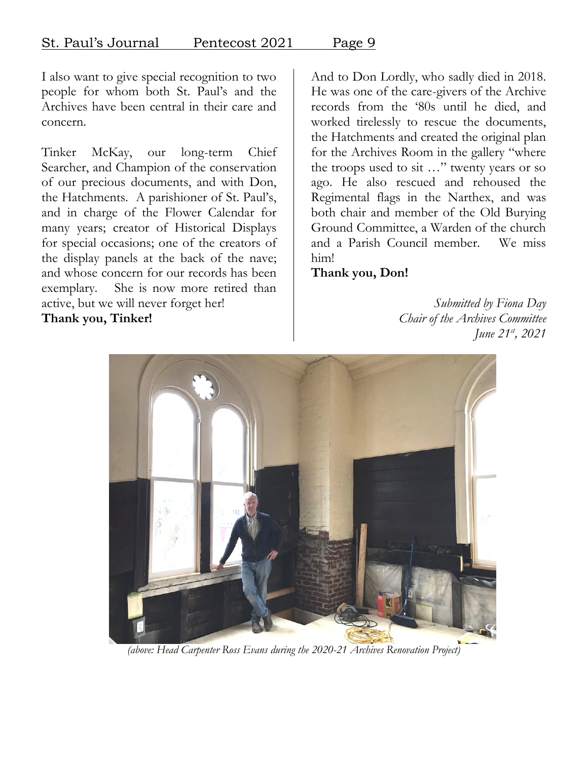I also want to give special recognition to two people for whom both St. Paul's and the Archives have been central in their care and concern.

Tinker McKay, our long-term Chief Searcher, and Champion of the conservation of our precious documents, and with Don, the Hatchments. A parishioner of St. Paul's, and in charge of the Flower Calendar for many years; creator of Historical Displays for special occasions; one of the creators of the display panels at the back of the nave; and whose concern for our records has been exemplary. She is now more retired than active, but we will never forget her! **Thank you, Tinker!**

And to Don Lordly, who sadly died in 2018. He was one of the care-givers of the Archive records from the '80s until he died, and worked tirelessly to rescue the documents, the Hatchments and created the original plan for the Archives Room in the gallery "where the troops used to sit …" twenty years or so ago. He also rescued and rehoused the Regimental flags in the Narthex, and was both chair and member of the Old Burying Ground Committee, a Warden of the church and a Parish Council member. We miss him!

**Thank you, Don!**

*Submitted by Fiona Day Chair of the Archives Committee June 21 st , 2021*



*(above: Head Carpenter Ross Evans during the 2020-21 Archives Renovation Project)*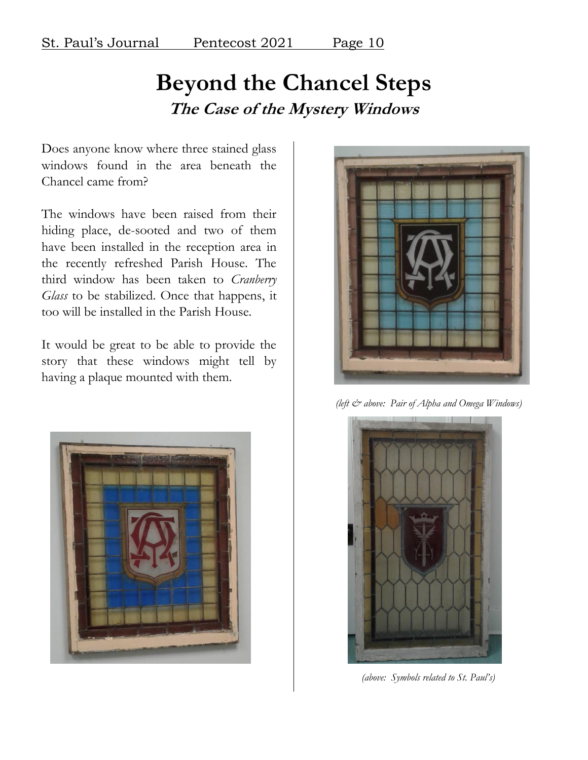### **Beyond the Chancel Steps The Case of the Mystery Windows**

Does anyone know where three stained glass windows found in the area beneath the Chancel came from?

The windows have been raised from their hiding place, de-sooted and two of them have been installed in the reception area in the recently refreshed Parish House. The third window has been taken to *Cranberry Glass* to be stabilized. Once that happens, it too will be installed in the Parish House.

It would be great to be able to provide the story that these windows might tell by having a plaque mounted with them.





*(left & above: Pair of Alpha and Omega Windows)*



*(above: Symbols related to St. Paul's)*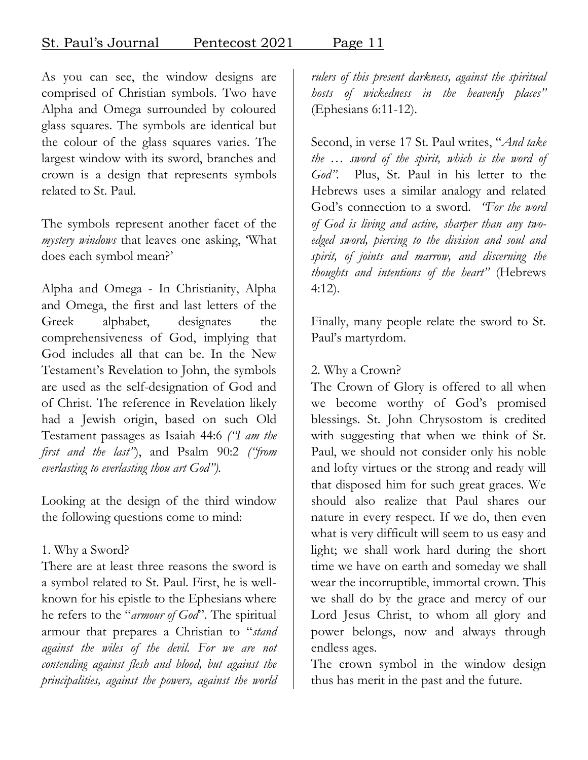As you can see, the window designs are comprised of Christian symbols. Two have Alpha and Omega surrounded by coloured glass squares. The symbols are identical but the colour of the glass squares varies. The largest window with its sword, branches and crown is a design that represents symbols related to St. Paul.

The symbols represent another facet of the *mystery windows* that leaves one asking, 'What does each symbol mean?'

Alpha and Omega - In Christianity, Alpha and Omega, the first and last letters of the Greek alphabet, designates the comprehensiveness of God, implying that God includes all that can be. In the New Testament's Revelation to John, the symbols are used as the self-designation of God and of Christ. The reference in Revelation likely had a Jewish origin, based on such Old Testament passages as Isaiah 44:6 *("I am the first and the last"*), and Psalm 90:2 *("from everlasting to everlasting thou art God").*

Looking at the design of the third window the following questions come to mind:

#### 1. Why a Sword?

There are at least three reasons the sword is a symbol related to St. Paul. First, he is wellknown for his epistle to the Ephesians where he refers to the "*armour of God*". The spiritual armour that prepares a Christian to "*stand against the wiles of the devil. For we are not contending against flesh and blood, but against the principalities, against the powers, against the world*  *rulers of this present darkness, against the spiritual hosts of wickedness in the heavenly places"* (Ephesians 6:11-12).

Second, in verse 17 St. Paul writes, "*And take the … sword of the spirit, which is the word of God".* Plus, St. Paul in his letter to the Hebrews uses a similar analogy and related God's connection to a sword. *"For the word of God is living and active, sharper than any twoedged sword, piercing to the division and soul and spirit, of joints and marrow, and discerning the thoughts and intentions of the heart"* (Hebrews 4:12).

Finally, many people relate the sword to St. Paul's martyrdom.

#### 2. Why a Crown?

The Crown of Glory is offered to all when we become worthy of God's promised blessings. St. John Chrysostom is credited with suggesting that when we think of St. Paul, we should not consider only his noble and lofty virtues or the strong and ready will that disposed him for such great graces. We should also realize that Paul shares our nature in every respect. If we do, then even what is very difficult will seem to us easy and light; we shall work hard during the short time we have on earth and someday we shall wear the incorruptible, immortal crown. This we shall do by the grace and mercy of our Lord Jesus Christ, to whom all glory and power belongs, now and always through endless ages.

The crown symbol in the window design thus has merit in the past and the future.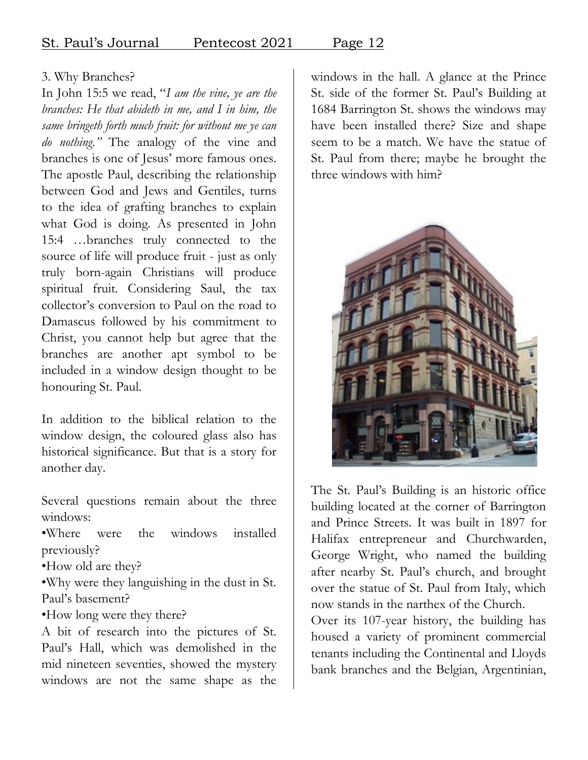St. Paul's Journal Pentecost 2021 Page 12

### 3. Why Branches?

In John 15:5 we read, "*I am the vine, ye are the branches: He that abideth in me, and I in him, the same bringeth forth much fruit: for without me ye can do nothing."* The analogy of the vine and branches is one of Jesus' more famous ones. The apostle Paul, describing the relationship between God and Jews and Gentiles, turns to the idea of grafting branches to explain what God is doing. As presented in John 15:4 …branches truly connected to the source of life will produce fruit - just as only truly born-again Christians will produce spiritual fruit. Considering Saul, the tax collector's conversion to Paul on the road to Damascus followed by his commitment to Christ, you cannot help but agree that the branches are another apt symbol to be included in a window design thought to be honouring St. Paul.

In addition to the biblical relation to the window design, the coloured glass also has historical significance. But that is a story for another day.

Several questions remain about the three windows:

•Where were the windows installed previously?

•How old are they?

•Why were they languishing in the dust in St. Paul's basement?

•How long were they there?

A bit of research into the pictures of St. Paul's Hall, which was demolished in the mid nineteen seventies, showed the mystery windows are not the same shape as the

windows in the hall. A glance at the Prince St. side of the former St. Paul's Building at 1684 Barrington St. shows the windows may have been installed there? Size and shape seem to be a match. We have the statue of St. Paul from there; maybe he brought the three windows with him?



The St. Paul's Building is an historic office building located at the corner of Barrington and Prince Streets. It was built in 1897 for Halifax entrepreneur and Churchwarden, George Wright, who named the building after nearby St. Paul's church, and brought over the statue of St. Paul from Italy, which now stands in the narthex of the Church.

Over its 107-year history, the building has housed a variety of prominent commercial tenants including the Continental and Lloyds bank branches and the Belgian, Argentinian,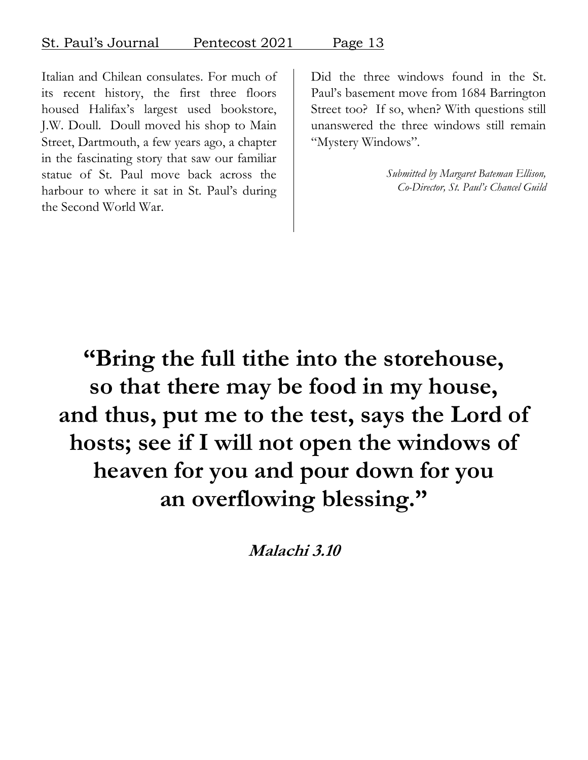Did the three windows found in the St.

Italian and Chilean consulates. For much of its recent history, the first three floors housed Halifax's largest used bookstore, J.W. Doull. Doull moved his shop to Main Street, Dartmouth, a few years ago, a chapter in the fascinating story that saw our familiar statue of St. Paul move back across the harbour to where it sat in St. Paul's during the Second World War.

Paul's basement move from 1684 Barrington Street too? If so, when? With questions still unanswered the three windows still remain "Mystery Windows".

> *Submitted by Margaret Bateman Ellison, Co-Director, St. Paul's Chancel Guild*

**"Bring the full tithe into the storehouse, so that there may be food in my house, and thus, put me to the test, says the Lord of hosts; see if I will not open the windows of heaven for you and pour down for you an overflowing blessing."**

**Malachi 3.10**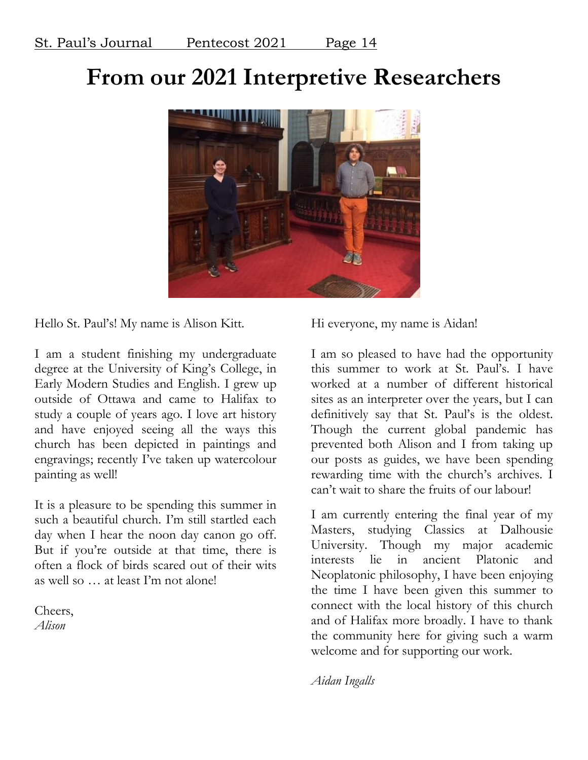## **From our 2021 Interpretive Researchers**



Hello St. Paul's! My name is Alison Kitt.

I am a student finishing my undergraduate degree at the University of King's College, in Early Modern Studies and English. I grew up outside of Ottawa and came to Halifax to study a couple of years ago. I love art history and have enjoyed seeing all the ways this church has been depicted in paintings and engravings; recently I've taken up watercolour painting as well!

It is a pleasure to be spending this summer in such a beautiful church. I'm still startled each day when I hear the noon day canon go off. But if you're outside at that time, there is often a flock of birds scared out of their wits as well so … at least I'm not alone!

Cheers, *Alison*

Hi everyone, my name is Aidan!

I am so pleased to have had the opportunity this summer to work at St. Paul's. I have worked at a number of different historical sites as an interpreter over the years, but I can definitively say that St. Paul's is the oldest. Though the current global pandemic has prevented both Alison and I from taking up our posts as guides, we have been spending rewarding time with the church's archives. I can't wait to share the fruits of our labour!

I am currently entering the final year of my Masters, studying Classics at Dalhousie University. Though my major academic interests lie in ancient Platonic and Neoplatonic philosophy, I have been enjoying the time I have been given this summer to connect with the local history of this church and of Halifax more broadly. I have to thank the community here for giving such a warm welcome and for supporting our work.

*Aidan Ingalls*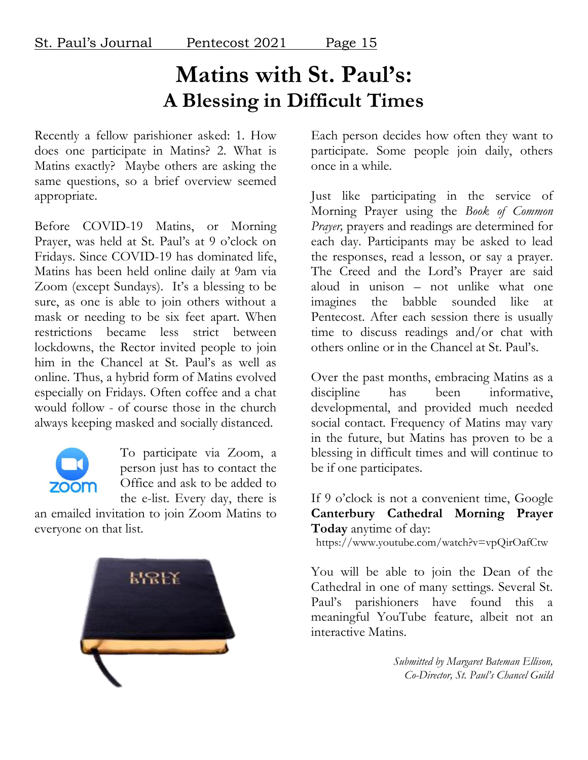### **Matins with St. Paul's: A Blessing in Difficult Times**

Recently a fellow parishioner asked: 1. How does one participate in Matins? 2. What is Matins exactly? Maybe others are asking the same questions, so a brief overview seemed appropriate.

Before COVID-19 Matins, or Morning Prayer, was held at St. Paul's at 9 o'clock on Fridays. Since COVID-19 has dominated life, Matins has been held online daily at 9am via Zoom (except Sundays). It's a blessing to be sure, as one is able to join others without a mask or needing to be six feet apart. When restrictions became less strict between lockdowns, the Rector invited people to join him in the Chancel at St. Paul's as well as online. Thus, a hybrid form of Matins evolved especially on Fridays. Often coffee and a chat would follow - of course those in the church always keeping masked and socially distanced.



To participate via Zoom, a person just has to contact the Office and ask to be added to the e-list. Every day, there is

an emailed invitation to join Zoom Matins to everyone on that list.



Each person decides how often they want to participate. Some people join daily, others once in a while.

Just like participating in the service of Morning Prayer using the *Book of Common Prayer,* prayers and readings are determined for each day. Participants may be asked to lead the responses, read a lesson, or say a prayer. The Creed and the Lord's Prayer are said aloud in unison – not unlike what one imagines the babble sounded like at Pentecost. After each session there is usually time to discuss readings and/or chat with others online or in the Chancel at St. Paul's.

Over the past months, embracing Matins as a discipline has been informative, developmental, and provided much needed social contact. Frequency of Matins may vary in the future, but Matins has proven to be a blessing in difficult times and will continue to be if one participates.

#### If 9 o'clock is not a convenient time, Google **Canterbury Cathedral Morning Prayer Today** anytime of day:

https://www.youtube.com/watch?v=vpQirOafCtw

You will be able to join the Dean of the Cathedral in one of many settings. Several St. Paul's parishioners have found this a meaningful YouTube feature, albeit not an interactive Matins.

> *Submitted by Margaret Bateman Ellison, Co-Director, St. Paul's Chancel Guild*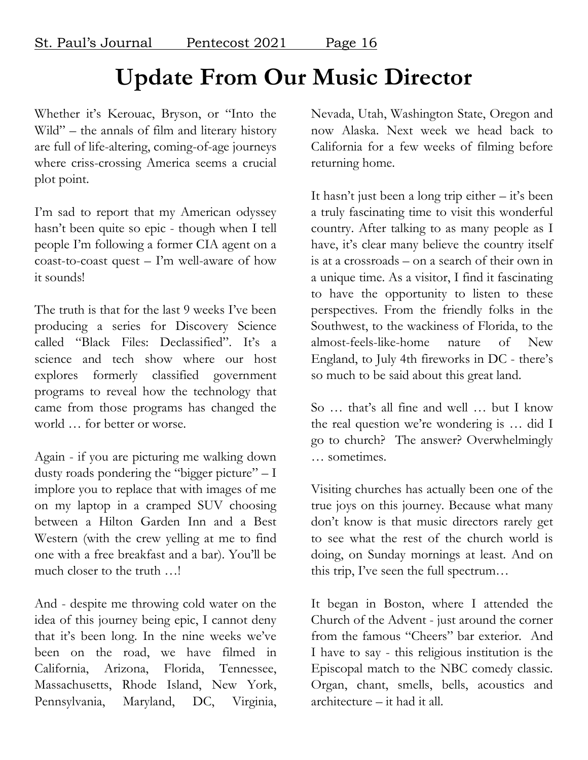## **Update From Our Music Director**

Whether it's Kerouac, Bryson, or "Into the Wild" – the annals of film and literary history are full of life-altering, coming-of-age journeys where criss-crossing America seems a crucial plot point.

I'm sad to report that my American odyssey hasn't been quite so epic - though when I tell people I'm following a former CIA agent on a coast-to-coast quest – I'm well-aware of how it sounds!

The truth is that for the last 9 weeks I've been producing a series for Discovery Science called "Black Files: Declassified". It's a science and tech show where our host explores formerly classified government programs to reveal how the technology that came from those programs has changed the world … for better or worse.

Again - if you are picturing me walking down dusty roads pondering the "bigger picture" – I implore you to replace that with images of me on my laptop in a cramped SUV choosing between a Hilton Garden Inn and a Best Western (with the crew yelling at me to find one with a free breakfast and a bar). You'll be much closer to the truth …!

And - despite me throwing cold water on the idea of this journey being epic, I cannot deny that it's been long. In the nine weeks we've been on the road, we have filmed in California, Arizona, Florida, Tennessee, Massachusetts, Rhode Island, New York, Pennsylvania, Maryland, DC, Virginia,

Nevada, Utah, Washington State, Oregon and now Alaska. Next week we head back to California for a few weeks of filming before returning home.

It hasn't just been a long trip either – it's been a truly fascinating time to visit this wonderful country. After talking to as many people as I have, it's clear many believe the country itself is at a crossroads – on a search of their own in a unique time. As a visitor, I find it fascinating to have the opportunity to listen to these perspectives. From the friendly folks in the Southwest, to the wackiness of Florida, to the almost-feels-like-home nature of New England, to July 4th fireworks in DC - there's so much to be said about this great land.

So … that's all fine and well … but I know the real question we're wondering is … did I go to church? The answer? Overwhelmingly … sometimes.

Visiting churches has actually been one of the true joys on this journey. Because what many don't know is that music directors rarely get to see what the rest of the church world is doing, on Sunday mornings at least. And on this trip, I've seen the full spectrum…

It began in Boston, where I attended the Church of the Advent - just around the corner from the famous "Cheers" bar exterior. And I have to say - this religious institution is the Episcopal match to the NBC comedy classic. Organ, chant, smells, bells, acoustics and architecture – it had it all.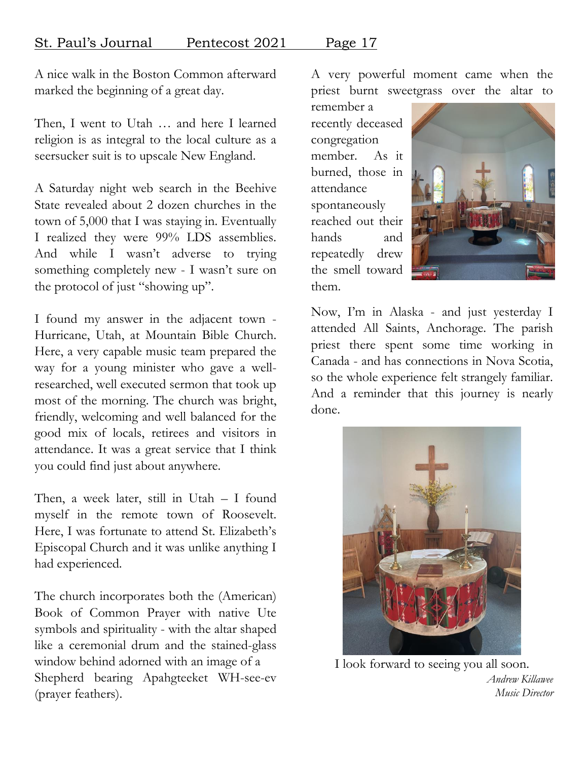A nice walk in the Boston Common afterward marked the beginning of a great day.

Then, I went to Utah … and here I learned religion is as integral to the local culture as a seersucker suit is to upscale New England.

A Saturday night web search in the Beehive State revealed about 2 dozen churches in the town of 5,000 that I was staying in. Eventually I realized they were 99% LDS assemblies. And while I wasn't adverse to trying something completely new - I wasn't sure on the protocol of just "showing up".

I found my answer in the adjacent town - Hurricane, Utah, at Mountain Bible Church. Here, a very capable music team prepared the way for a young minister who gave a wellresearched, well executed sermon that took up most of the morning. The church was bright, friendly, welcoming and well balanced for the good mix of locals, retirees and visitors in attendance. It was a great service that I think you could find just about anywhere.

Then, a week later, still in Utah – I found myself in the remote town of Roosevelt. Here, I was fortunate to attend St. Elizabeth's Episcopal Church and it was unlike anything I had experienced.

The church incorporates both the (American) Book of Common Prayer with native Ute symbols and spirituality - with the altar shaped like a ceremonial drum and the stained-glass window behind adorned with an image of a Shepherd bearing Apahgteeket WH-see-ev (prayer feathers).

A very powerful moment came when the priest burnt sweetgrass over the altar to

remember a recently deceased congregation member. As it burned, those in attendance spontaneously reached out their hands and repeatedly drew the smell toward them.



Now, I'm in Alaska - and just yesterday I attended All Saints, Anchorage. The parish priest there spent some time working in Canada - and has connections in Nova Scotia, so the whole experience felt strangely familiar. And a reminder that this journey is nearly done.



I look forward to seeing you all soon. *Andrew Killawee Music Director*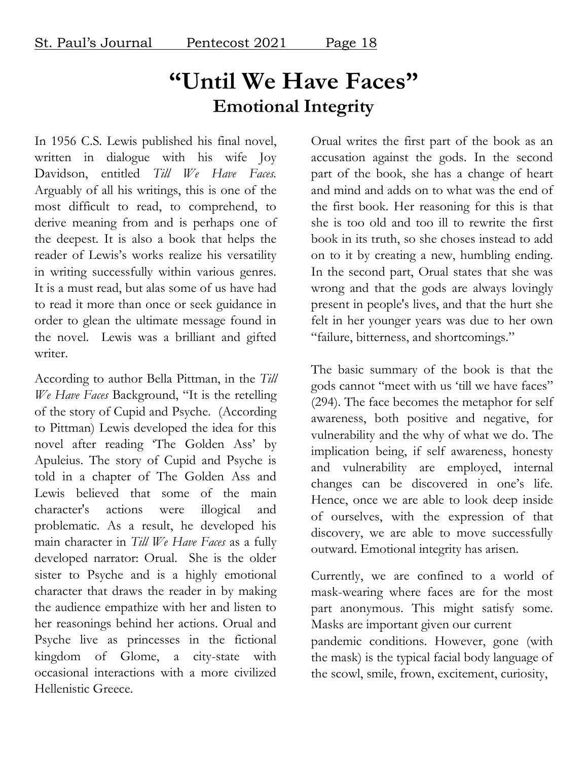### **"Until We Have Faces" Emotional Integrity**

In 1956 C.S. Lewis published his final novel, written in dialogue with his wife Joy Davidson, entitled *Till We Have Faces.* Arguably of all his writings, this is one of the most difficult to read, to comprehend, to derive meaning from and is perhaps one of the deepest. It is also a book that helps the reader of Lewis's works realize his versatility in writing successfully within various genres. It is a must read, but alas some of us have had to read it more than once or seek guidance in order to glean the ultimate message found in the novel. Lewis was a brilliant and gifted writer.

According to author Bella Pittman, in the *Till We Have Faces* Background, "It is the retelling of the story of Cupid and Psyche. (According to Pittman) Lewis developed the idea for this novel after reading 'The Golden Ass' by Apuleius. The story of Cupid and Psyche is told in a chapter of The Golden Ass and Lewis believed that some of the main character's actions were illogical and problematic. As a result, he developed his main character in *Till We Have Faces* as a fully developed narrator: Orual. She is the older sister to Psyche and is a highly emotional character that draws the reader in by making the audience empathize with her and listen to her reasonings behind her actions. Orual and Psyche live as princesses in the fictional kingdom of Glome, a city-state with occasional interactions with a more civilized Hellenistic Greece.

Orual writes the first part of the book as an accusation against the gods. In the second part of the book, she has a change of heart and mind and adds on to what was the end of the first book. Her reasoning for this is that she is too old and too ill to rewrite the first book in its truth, so she choses instead to add on to it by creating a new, humbling ending. In the second part, Orual states that she was wrong and that the gods are always lovingly present in people's lives, and that the hurt she felt in her younger years was due to her own "failure, bitterness, and shortcomings."

The basic summary of the book is that the gods cannot "meet with us 'till we have faces" (294). The face becomes the metaphor for self awareness, both positive and negative, for vulnerability and the why of what we do. The implication being, if self awareness, honesty and vulnerability are employed, internal changes can be discovered in one's life. Hence, once we are able to look deep inside of ourselves, with the expression of that discovery, we are able to move successfully outward. Emotional integrity has arisen.

Currently, we are confined to a world of mask-wearing where faces are for the most part anonymous. This might satisfy some. Masks are important given our current pandemic conditions. However, gone (with the mask) is the typical facial body language of the scowl, smile, frown, excitement, curiosity,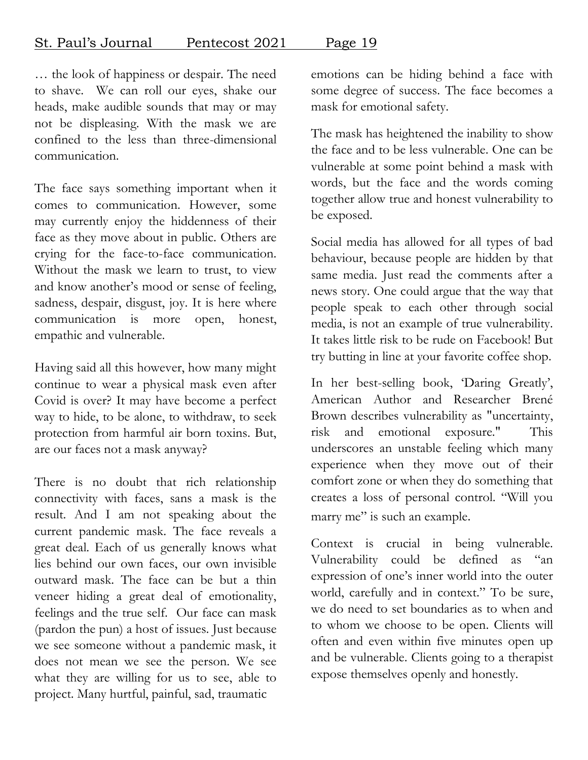… the look of happiness or despair. The need to shave. We can roll our eyes, shake our heads, make audible sounds that may or may not be displeasing. With the mask we are confined to the less than three-dimensional communication.

The face says something important when it comes to communication. However, some may currently enjoy the hiddenness of their face as they move about in public. Others are crying for the face-to-face communication. Without the mask we learn to trust, to view and know another's mood or sense of feeling, sadness, despair, disgust, joy. It is here where communication is more open, honest, empathic and vulnerable.

Having said all this however, how many might continue to wear a physical mask even after Covid is over? It may have become a perfect way to hide, to be alone, to withdraw, to seek protection from harmful air born toxins. But, are our faces not a mask anyway?

There is no doubt that rich relationship connectivity with faces, sans a mask is the result. And I am not speaking about the current pandemic mask. The face reveals a great deal. Each of us generally knows what lies behind our own faces, our own invisible outward mask. The face can be but a thin veneer hiding a great deal of emotionality, feelings and the true self. Our face can mask (pardon the pun) a host of issues. Just because we see someone without a pandemic mask, it does not mean we see the person. We see what they are willing for us to see, able to project. Many hurtful, painful, sad, traumatic

emotions can be hiding behind a face with some degree of success. The face becomes a mask for emotional safety.

The mask has heightened the inability to show the face and to be less vulnerable. One can be vulnerable at some point behind a mask with words, but the face and the words coming together allow true and honest vulnerability to be exposed.

Social media has allowed for all types of bad behaviour, because people are hidden by that same media. Just read the comments after a news story. One could argue that the way that people speak to each other through social media, is not an example of true vulnerability. It takes little risk to be rude on Facebook! But try butting in line at your favorite coffee shop.

In her best-selling book, 'Daring Greatly', American Author and Researcher Brené Brown describes vulnerability as "uncertainty, risk and emotional exposure." This underscores an unstable feeling which many experience when they move out of their comfort zone or when they do something that creates a loss of personal control. "Will you marry me" is such an example.

Context is crucial in being vulnerable. Vulnerability could be defined as "an expression of one's inner world into the outer world, carefully and in context." To be sure, we do need to set boundaries as to when and to whom we choose to be open. Clients will often and even within five minutes open up and be vulnerable. Clients going to a therapist expose themselves openly and honestly.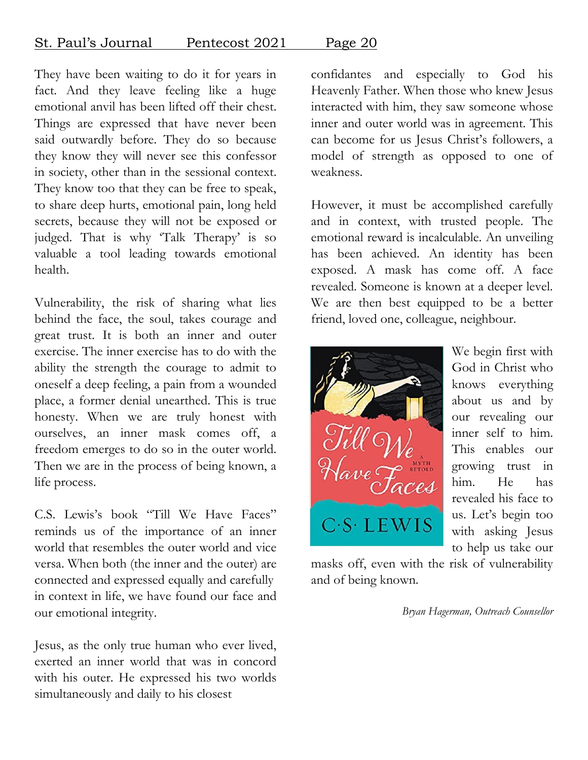### St. Paul's Journal Pentecost 2021 Page 20

They have been waiting to do it for years in fact. And they leave feeling like a huge emotional anvil has been lifted off their chest. Things are expressed that have never been said outwardly before. They do so because they know they will never see this confessor in society, other than in the sessional context. They know too that they can be free to speak, to share deep hurts, emotional pain, long held secrets, because they will not be exposed or judged. That is why 'Talk Therapy' is so valuable a tool leading towards emotional health.

Vulnerability, the risk of sharing what lies behind the face, the soul, takes courage and great trust. It is both an inner and outer exercise. The inner exercise has to do with the ability the strength the courage to admit to oneself a deep feeling, a pain from a wounded place, a former denial unearthed. This is true honesty. When we are truly honest with ourselves, an inner mask comes off, a freedom emerges to do so in the outer world. Then we are in the process of being known, a life process.

C.S. Lewis's book "Till We Have Faces" reminds us of the importance of an inner world that resembles the outer world and vice versa. When both (the inner and the outer) are connected and expressed equally and carefully in context in life, we have found our face and our emotional integrity.

Jesus, as the only true human who ever lived, exerted an inner world that was in concord with his outer. He expressed his two worlds simultaneously and daily to his closest

confidantes and especially to God his Heavenly Father. When those who knew Jesus interacted with him, they saw someone whose inner and outer world was in agreement. This can become for us Jesus Christ's followers, a model of strength as opposed to one of weakness.

However, it must be accomplished carefully and in context, with trusted people. The emotional reward is incalculable. An unveiling has been achieved. An identity has been exposed. A mask has come off. A face revealed. Someone is known at a deeper level. We are then best equipped to be a better friend, loved one, colleague, neighbour.



We begin first with God in Christ who knows everything about us and by our revealing our inner self to him. This enables our growing trust in him. He has revealed his face to us. Let's begin too with asking Jesus to help us take our

masks off, even with the risk of vulnerability and of being known.

*Bryan Hagerman, Outreach Counsellor*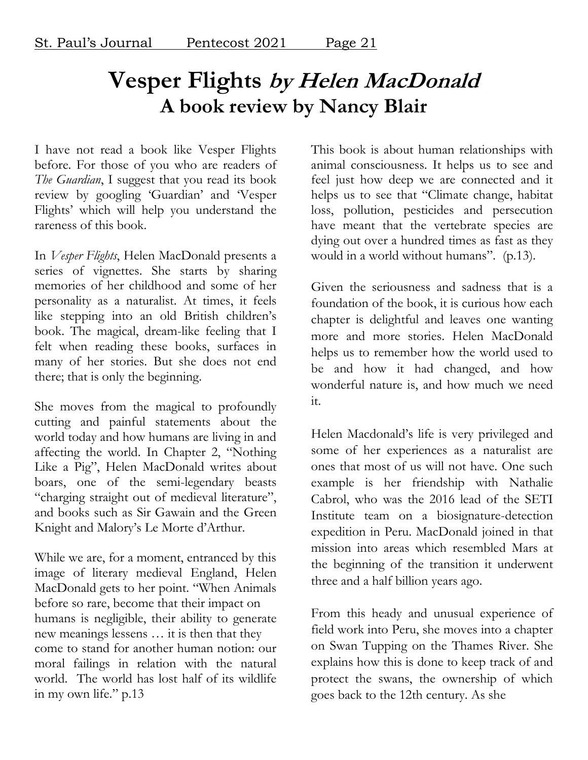### **Vesper Flights by Helen MacDonald A book review by Nancy Blair**

I have not read a book like Vesper Flights before. For those of you who are readers of *The Guardian*, I suggest that you read its book review by googling 'Guardian' and 'Vesper Flights' which will help you understand the rareness of this book.

In *Vesper Flights*, Helen MacDonald presents a series of vignettes. She starts by sharing memories of her childhood and some of her personality as a naturalist. At times, it feels like stepping into an old British children's book. The magical, dream-like feeling that I felt when reading these books, surfaces in many of her stories. But she does not end there; that is only the beginning.

She moves from the magical to profoundly cutting and painful statements about the world today and how humans are living in and affecting the world. In Chapter 2, "Nothing Like a Pig", Helen MacDonald writes about boars, one of the semi-legendary beasts "charging straight out of medieval literature", and books such as Sir Gawain and the Green Knight and Malory's Le Morte d'Arthur.

While we are, for a moment, entranced by this image of literary medieval England, Helen MacDonald gets to her point. "When Animals before so rare, become that their impact on humans is negligible, their ability to generate new meanings lessens … it is then that they come to stand for another human notion: our moral failings in relation with the natural world. The world has lost half of its wildlife in my own life." p.13

This book is about human relationships with animal consciousness. It helps us to see and feel just how deep we are connected and it helps us to see that "Climate change, habitat loss, pollution, pesticides and persecution have meant that the vertebrate species are dying out over a hundred times as fast as they would in a world without humans". (p.13).

Given the seriousness and sadness that is a foundation of the book, it is curious how each chapter is delightful and leaves one wanting more and more stories. Helen MacDonald helps us to remember how the world used to be and how it had changed, and how wonderful nature is, and how much we need it.

Helen Macdonald's life is very privileged and some of her experiences as a naturalist are ones that most of us will not have. One such example is her friendship with Nathalie Cabrol, who was the 2016 lead of the SETI Institute team on a biosignature-detection expedition in Peru. MacDonald joined in that mission into areas which resembled Mars at the beginning of the transition it underwent three and a half billion years ago.

From this heady and unusual experience of field work into Peru, she moves into a chapter on Swan Tupping on the Thames River. She explains how this is done to keep track of and protect the swans, the ownership of which goes back to the 12th century. As she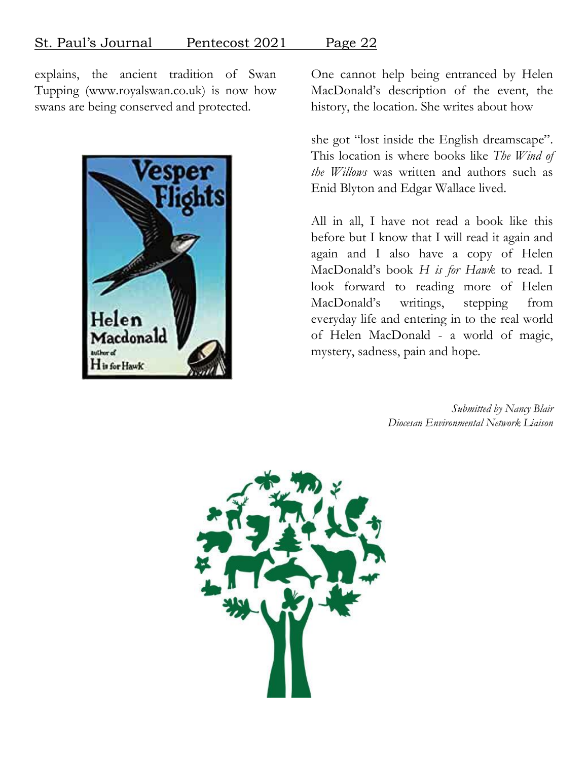explains, the ancient tradition of Swan Tupping (www.royalswan.co.uk) is now how swans are being conserved and protected.



One cannot help being entranced by Helen MacDonald's description of the event, the history, the location. She writes about how

she got "lost inside the English dreamscape". This location is where books like *The Wind of the Willows* was written and authors such as Enid Blyton and Edgar Wallace lived.

All in all, I have not read a book like this before but I know that I will read it again and again and I also have a copy of Helen MacDonald's book *H is for Hawk* to read. I look forward to reading more of Helen MacDonald's writings, stepping from everyday life and entering in to the real world of Helen MacDonald - a world of magic, mystery, sadness, pain and hope.

> *Submitted by Nancy Blair Diocesan Environmental Network Liaison*

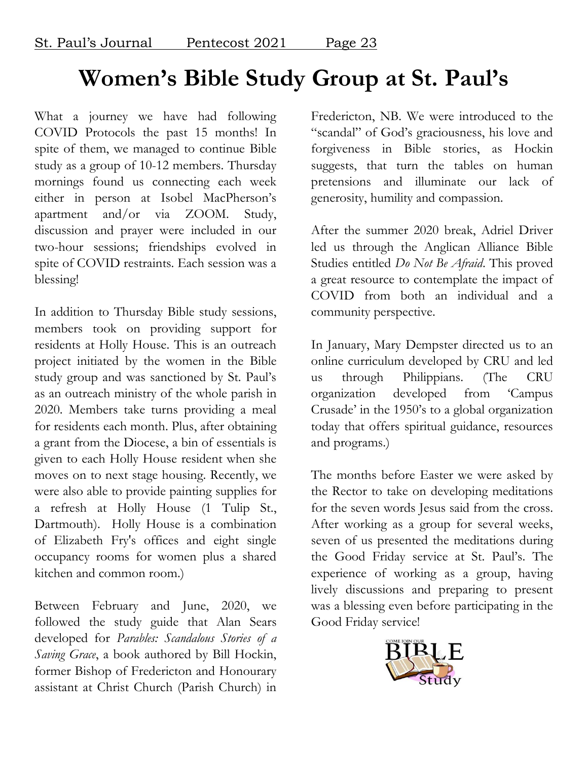### **Women's Bible Study Group at St. Paul's**

What a journey we have had following COVID Protocols the past 15 months! In spite of them, we managed to continue Bible study as a group of 10-12 members. Thursday mornings found us connecting each week either in person at Isobel MacPherson's apartment and/or via ZOOM. Study, discussion and prayer were included in our two-hour sessions; friendships evolved in spite of COVID restraints. Each session was a blessing!

In addition to Thursday Bible study sessions, members took on providing support for residents at Holly House. This is an outreach project initiated by the women in the Bible study group and was sanctioned by St. Paul's as an outreach ministry of the whole parish in 2020. Members take turns providing a meal for residents each month. Plus, after obtaining a grant from the Diocese, a bin of essentials is given to each Holly House resident when she moves on to next stage housing. Recently, we were also able to provide painting supplies for a refresh at Holly House (1 Tulip St., Dartmouth). Holly House is a combination of Elizabeth Fry's offices and eight single occupancy rooms for women plus a shared kitchen and common room.)

Between February and June, 2020, we followed the study guide that Alan Sears developed for *Parables: Scandalous Stories of a Saving Grace*, a book authored by Bill Hockin, former Bishop of Fredericton and Honourary assistant at Christ Church (Parish Church) in

Fredericton, NB. We were introduced to the "scandal" of God's graciousness, his love and forgiveness in Bible stories, as Hockin suggests, that turn the tables on human pretensions and illuminate our lack of generosity, humility and compassion.

After the summer 2020 break, Adriel Driver led us through the Anglican Alliance Bible Studies entitled *Do Not Be Afraid*. This proved a great resource to contemplate the impact of COVID from both an individual and a community perspective.

In January, Mary Dempster directed us to an online curriculum developed by CRU and led us through Philippians. (The CRU organization developed from 'Campus Crusade' in the 1950's to a global organization today that offers spiritual guidance, resources and programs.)

The months before Easter we were asked by the Rector to take on developing meditations for the seven words Jesus said from the cross. After working as a group for several weeks, seven of us presented the meditations during the Good Friday service at St. Paul's. The experience of working as a group, having lively discussions and preparing to present was a blessing even before participating in the Good Friday service!

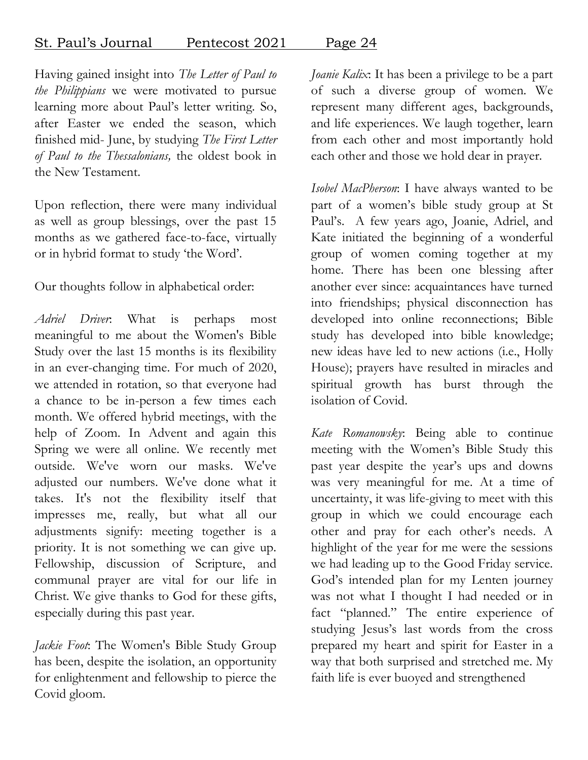### St. Paul's Journal Pentecost 2021 Page 24

Having gained insight into *The Letter of Paul to the Philippians* we were motivated to pursue learning more about Paul's letter writing. So, after Easter we ended the season, which finished mid- June, by studying *The First Letter of Paul to the Thessalonians,* the oldest book in the New Testament.

Upon reflection, there were many individual as well as group blessings, over the past 15 months as we gathered face-to-face, virtually or in hybrid format to study 'the Word'.

Our thoughts follow in alphabetical order:

*Adriel Driver*: What is perhaps most meaningful to me about the Women's Bible Study over the last 15 months is its flexibility in an ever-changing time. For much of 2020, we attended in rotation, so that everyone had a chance to be in-person a few times each month. We offered hybrid meetings, with the help of Zoom. In Advent and again this Spring we were all online. We recently met outside. We've worn our masks. We've adjusted our numbers. We've done what it takes. It's not the flexibility itself that impresses me, really, but what all our adjustments signify: meeting together is a priority. It is not something we can give up. Fellowship, discussion of Scripture, and communal prayer are vital for our life in Christ. We give thanks to God for these gifts, especially during this past year.

*Jackie Foot*: The Women's Bible Study Group has been, despite the isolation, an opportunity for enlightenment and fellowship to pierce the Covid gloom.

*Joanie Kalix*: It has been a privilege to be a part of such a diverse group of women. We represent many different ages, backgrounds, and life experiences. We laugh together, learn from each other and most importantly hold each other and those we hold dear in prayer.

*Isobel MacPherson*: I have always wanted to be part of a women's bible study group at St Paul's. A few years ago, Joanie, Adriel, and Kate initiated the beginning of a wonderful group of women coming together at my home. There has been one blessing after another ever since: acquaintances have turned into friendships; physical disconnection has developed into online reconnections; Bible study has developed into bible knowledge; new ideas have led to new actions (i.e., Holly House); prayers have resulted in miracles and spiritual growth has burst through the isolation of Covid.

*Kate Romanowsky*: Being able to continue meeting with the Women's Bible Study this past year despite the year's ups and downs was very meaningful for me. At a time of uncertainty, it was life-giving to meet with this group in which we could encourage each other and pray for each other's needs. A highlight of the year for me were the sessions we had leading up to the Good Friday service. God's intended plan for my Lenten journey was not what I thought I had needed or in fact "planned." The entire experience of studying Jesus's last words from the cross prepared my heart and spirit for Easter in a way that both surprised and stretched me. My faith life is ever buoyed and strengthened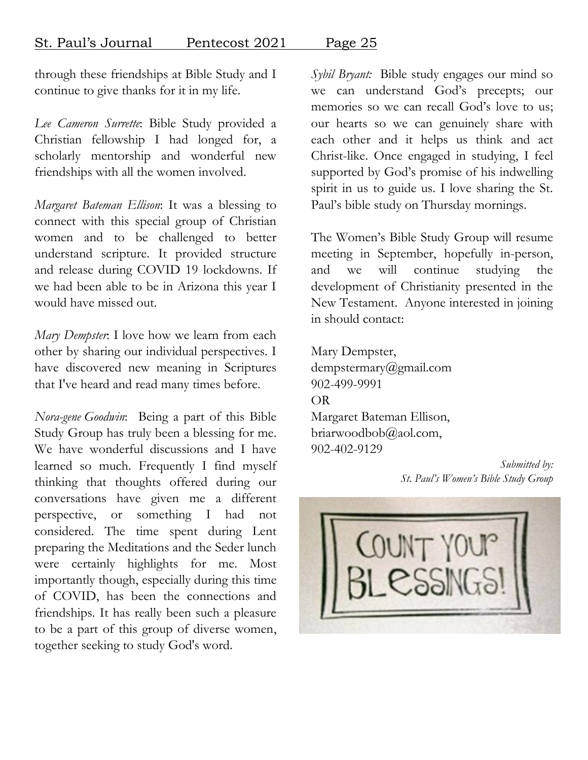through these friendships at Bible Study and I continue to give thanks for it in my life.

*Lee Cameron Surrette*: Bible Study provided a Christian fellowship I had longed for, a scholarly mentorship and wonderful new friendships with all the women involved.

*Margaret Bateman Ellison*: It was a blessing to connect with this special group of Christian women and to be challenged to better understand scripture. It provided structure and release during COVID 19 lockdowns. If we had been able to be in Arizona this year I would have missed out.

*Mary Dempster*: I love how we learn from each other by sharing our individual perspectives. I have discovered new meaning in Scriptures that I've heard and read many times before.

*Nora-gene Goodwin*: Being a part of this Bible Study Group has truly been a blessing for me. We have wonderful discussions and I have learned so much. Frequently I find myself thinking that thoughts offered during our conversations have given me a different perspective, or something I had not considered. The time spent during Lent preparing the Meditations and the Seder lunch were certainly highlights for me. Most importantly though, especially during this time of COVID, has been the connections and friendships. It has really been such a pleasure to be a part of this group of diverse women, together seeking to study God's word.

*Sybil Bryant:* Bible study engages our mind so we can understand God's precepts; our memories so we can recall God's love to us; our hearts so we can genuinely share with each other and it helps us think and act Christ-like. Once engaged in studying, I feel supported by God's promise of his indwelling spirit in us to guide us. I love sharing the St. Paul's bible study on Thursday mornings.

The Women's Bible Study Group will resume meeting in September, hopefully in-person, and we will continue studying the development of Christianity presented in the New Testament. Anyone interested in joining in should contact:

Mary Dempster, dempstermary@gmail.com 902-499-9991 OR Margaret Bateman Ellison, briarwoodbob@aol.com, 902-402-9129

*Submitted by: St. Paul's Women's Bible Study Group*

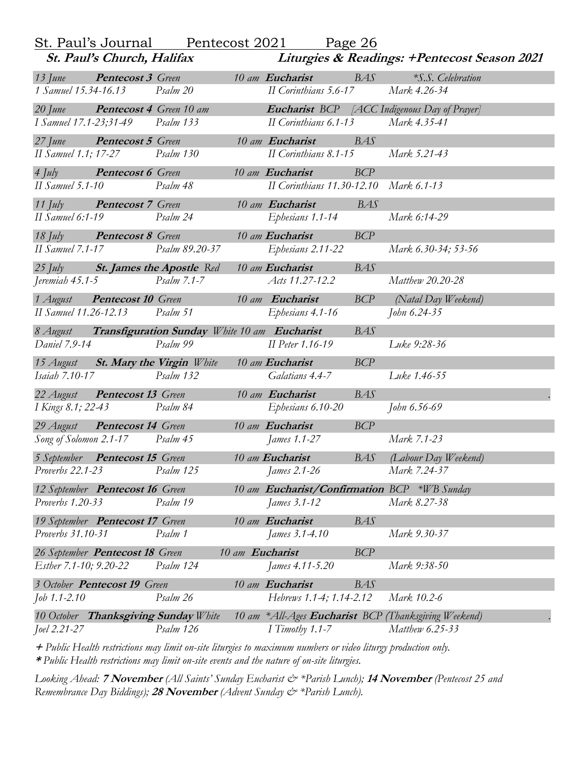|                                 | St. Paul's Journal              | Pentecost 2021                                        |                 | Page 26                                     |            |                                                     |
|---------------------------------|---------------------------------|-------------------------------------------------------|-----------------|---------------------------------------------|------------|-----------------------------------------------------|
|                                 | St. Paul's Church, Halifax      |                                                       |                 |                                             |            | Liturgies & Readings: +Pentecost Season 2021        |
| $13$ June                       | <b>Pentecost 3</b> Green        |                                                       |                 | 10 am Eucharist                             | BAS        | <i>*S.S. Celebration</i>                            |
| 1 Samuel 15.34-16.13            |                                 | Psalm 20                                              |                 | II Corinthians 5.6-17                       |            | Mark 4.26-34                                        |
| $20$ June                       | <b>Pentecost 4</b> Green 10 am  |                                                       |                 |                                             |            | <b>Eucharist</b> BCP [ACC Indigenous Day of Prayer] |
| I Samuel 17.1-23;31-49          |                                 | Psalm 133                                             |                 | II Corinthians 6.1-13                       |            | Mark 4.35-41                                        |
| $27$ June                       | <b>Pentecost 5</b> Green        |                                                       |                 | 10 am Eucharist<br>BAS                      |            |                                                     |
| II Samuel 1.1; 17-27            |                                 | Psalm 130                                             |                 | II Corinthians 8.1-15                       |            | Mark 5.21-43                                        |
| $4 \; \mathrm{J}$               | <b>Pentecost 6 Green</b>        |                                                       |                 | 10 am Eucharist                             | BCP        |                                                     |
| II Samuel $5.1-10$              |                                 | Psalm 48                                              |                 | II Corinthians 11.30-12.10 Mark 6.1-13      |            |                                                     |
| 11 July                         | <b>Pentecost 7 Green</b>        |                                                       |                 | 10 am Eucharist<br>BAS                      |            |                                                     |
| $II$ Samuel 6:1-19              |                                 | Psalm 24                                              |                 | Ephesians 1.1-14                            |            | Mark 6:14-29                                        |
| $18$ July                       | <b>Pentecost 8</b> Green        |                                                       |                 | 10 am Eucharist                             | BCP        |                                                     |
| <b>II</b> Samuel 7.1-17         |                                 | Psalm 89.20-37                                        |                 | Ephesians 2.11-22                           |            | Mark 6.30-34; 53-56                                 |
|                                 |                                 | 25 July <b>St. James the Apostle</b> Red              |                 | 10 am Eucharist                             | <b>BAS</b> |                                                     |
| Jeremiah $45.1 - 5$             |                                 | Psalm 7.1-7                                           |                 | Acts 11.27-12.2                             |            | Matthew 20.20-28                                    |
| 1 August                        | <b>Pentecost 10 Green</b>       |                                                       |                 | 10 am Eucharist                             | BCP        | (Natal Day Weekend)                                 |
|                                 | II Samuel 11.26-12.13 Psalm 51  |                                                       |                 | Ephesians 4.1-16                            |            | John 6.24-35                                        |
|                                 |                                 | 8 August Transfiguration Sunday White 10 am Eucharist |                 |                                             | <b>BAS</b> |                                                     |
| Daniel 7.9-14                   |                                 | Psalm 99                                              |                 | II Peter 1.16-19                            |            | Luke 9:28-36                                        |
|                                 |                                 | 15 August St. Mary the Virgin White                   |                 | 10 am Eucharist                             | BCP        |                                                     |
| <i>Isaiah 7.10-17</i>           |                                 | Psalm 132                                             |                 | Galatians 4.4-7                             |            | Luke 1.46-55                                        |
| 22 August                       | <b>Pentecost 13</b> Green       |                                                       |                 | 10 am Eucharist                             | <b>BAS</b> |                                                     |
| I Kings 8.1; 22-43              |                                 | Psalm 84                                              |                 | Ephesians 6.10-20                           |            | John 6.56-69                                        |
| 29 August                       | <b>Pentecost 14 Green</b>       |                                                       |                 | 10 am Eucharist                             | <b>BCP</b> |                                                     |
|                                 | Song of Solomon 2.1-17 Psalm 45 |                                                       |                 | James 1.1-27                                |            | Mark 7.1-23                                         |
| 5 September Pentecost 15 Green  |                                 |                                                       |                 | 10 am Eucharist                             | BAS        | (Labour Day Weekend)                                |
| <i>Proverbs</i> 22.1-23         |                                 | Psalm 125                                             |                 | James 2.1-26                                |            | Mark 7.24-37                                        |
|                                 | 12 September Pentecost 16 Green |                                                       |                 | 10 am Eucharist/Confirmation BCP *WB Sunday |            |                                                     |
| Proverbs 1.20-33                |                                 | Psalm 19                                              |                 | <i>James 3.1-12</i>                         |            | Mark 8.27-38                                        |
|                                 | 19 September Pentecost 17 Green |                                                       |                 | 10 am Eucharist                             | <b>BAS</b> |                                                     |
| <i>Proverbs</i> 31.10-31        |                                 | Psalm 1                                               |                 | James 3.1-4.10                              |            | Mark 9.30-37                                        |
| 26 September Pentecost 18 Green |                                 |                                                       | 10 am Eucharist |                                             | BCP        |                                                     |
| <i>Esther 7.1-10; 9.20-22</i>   |                                 | Psalm 124                                             |                 | James 4.11-5.20                             |            | Mark 9:38-50                                        |
| 3 October Pentecost 19 Green    |                                 |                                                       |                 | 10 am Eucharist                             | <b>BAS</b> |                                                     |
| $Job$ 1.1-2.10                  |                                 | Psalm 26                                              |                 | Hebrews 1.1-4; 1.14-2.12                    |            | Mark 10.2-6                                         |
|                                 |                                 | 10 October Thanksgiving Sunday White                  |                 | 10 am * All-Ages Eucharist BCP              |            | (Thanksgiving Weekend)                              |
| <i>Joel 2.21-27</i>             |                                 | Psalm 126                                             |                 | I Timothy 1.1-7                             |            | Matthew 6.25-33                                     |

**<sup>+</sup>***Public Health restrictions may limit on-site liturgies to maximum numbers or video liturgy production only.*

**\*** *Public Health restrictions may limit on-site events and the nature of on-site liturgies.*

*Looking Ahead:* **7 November** *(All Saints' Sunday Eucharist & \*Parish Lunch);* **14 November** *(Pentecost 25 and Remembrance Day Biddings);* **28 November** *(Advent Sunday & \*Parish Lunch).*